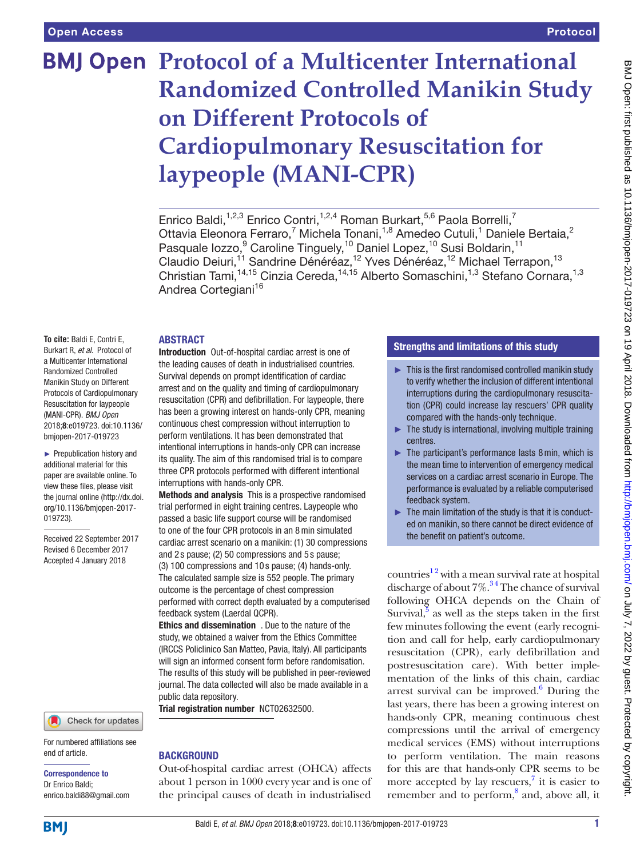# **BMJ Open Protocol of a Multicenter International Randomized Controlled Manikin Study on Different Protocols of Cardiopulmonary Resuscitation for laypeople (MANI-CPR)**

Enrico Baldi,<sup>1,2,3</sup> Enrico Contri,<sup>1,2,4</sup> Roman Burkart,<sup>5,6</sup> Paola Borrelli,<sup>7</sup> Ottavia Eleonora Ferraro,<sup>7</sup> Michela Tonani,<sup>1,8</sup> Amedeo Cutuli,<sup>1</sup> Daniele Bertaia,<sup>2</sup> Pasquale lozzo,<sup>9</sup> Caroline Tinguely,<sup>10</sup> Daniel Lopez,<sup>10</sup> Susi Boldarin,<sup>11</sup> Claudio Deiuri,<sup>11</sup> Sandrine Dénéréaz,<sup>12</sup> Yves Dénéréaz,<sup>12</sup> Michael Terrapon,<sup>13</sup> Christian Tami,<sup>14,15</sup> Cinzia Cereda,<sup>14,15</sup> Alberto Somaschini,<sup>1,3</sup> Stefano Cornara,<sup>1,3</sup> Andrea Cortegiani<sup>16</sup>

## **ABSTRACT**

**To cite:** Baldi E, Contri E, Burkart R, *et al*. Protocol of a Multicenter International Randomized Controlled Manikin Study on Different Protocols of Cardiopulmonary Resuscitation for laypeople (MANI-CPR). *BMJ Open* 2018;8:e019723. doi:10.1136/ bmjopen-2017-019723

► Prepublication history and additional material for this paper are available online. To view these files, please visit the journal online [\(http://dx.doi.](http://dx.doi.org/10.1136/bmjopen-2017-019723) [org/10.1136/bmjopen-2017-](http://dx.doi.org/10.1136/bmjopen-2017-019723) [019723\)](http://dx.doi.org/10.1136/bmjopen-2017-019723).

Received 22 September 2017 Revised 6 December 2017 Accepted 4 January 2018



For numbered affiliations see end of article.

#### Correspondence to Dr Enrico Baldi; enrico.baldi88@gmail.com

Introduction Out-of-hospital cardiac arrest is one of the leading causes of death in industrialised countries. Survival depends on prompt identification of cardiac arrest and on the quality and timing of cardiopulmonary resuscitation (CPR) and defibrillation. For laypeople, there has been a growing interest on hands-only CPR, meaning continuous chest compression without interruption to perform ventilations. It has been demonstrated that intentional interruptions in hands-only CPR can increase its quality. The aim of this randomised trial is to compare three CPR protocols performed with different intentional interruptions with hands-only CPR.

Methods and analysis This is a prospective randomised trial performed in eight training centres. Laypeople who passed a basic life support course will be randomised to one of the four CPR protocols in an 8min simulated cardiac arrest scenario on a manikin: (1) 30 compressions and 2 s pause; (2) 50 compressions and 5 s pause;

(3) 100 compressions and 10 s pause; (4) hands-only. The calculated sample size is 552 people. The primary outcome is the percentage of chest compression performed with correct depth evaluated by a computerised feedback system (Laerdal QCPR).

Ethics and dissemination . Due to the nature of the study, we obtained a waiver from the Ethics Committee (IRCCS Policlinico San Matteo, Pavia, Italy). All participants will sign an informed consent form before randomisation. The results of this study will be published in peer-reviewed journal. The data collected will also be made available in a public data repository.

Trial registration number <NCT02632500>.

# **BACKGROUND**

Out-of-hospital cardiac arrest (OHCA) affects about 1 person in 1000 every year and is one of the principal causes of death in industrialised

# Strengths and limitations of this study

- $\blacktriangleright$  This is the first randomised controlled manikin study to verify whether the inclusion of different intentional interruptions during the cardiopulmonary resuscitation (CPR) could increase lay rescuers' CPR quality compared with the hands-only technique.
- $\blacktriangleright$  The study is international, involving multiple training centres.
- $\blacktriangleright$  The participant's performance lasts 8 min, which is the mean time to intervention of emergency medical services on a cardiac arrest scenario in Europe. The performance is evaluated by a reliable computerised feedback system.
- $\blacktriangleright$  The main limitation of the study is that it is conducted on manikin, so there cannot be direct evidence of the benefit on patient's outcome.

countries<sup>12</sup> with a mean survival rate at hospital discharge of about  $7\%$ .<sup>34</sup> The chance of survival following OHCA depends on the Chain of Survival, $\frac{5}{5}$  $\frac{5}{5}$  $\frac{5}{5}$  as well as the steps taken in the first few minutes following the event (early recognition and call for help, early cardiopulmonary resuscitation (CPR), early defibrillation and postresuscitation care). With better implementation of the links of this chain, cardiac arrest survival can be improved.<sup>[6](#page-5-2)</sup> During the last years, there has been a growing interest on hands-only CPR, meaning continuous chest compressions until the arrival of emergency medical services (EMS) without interruptions to perform ventilation. The main reasons for this are that hands-only CPR seems to be more accepted by lay rescuers, $\frac{7}{1}$  it is easier to remember and to perform,<sup>8</sup> and, above all, it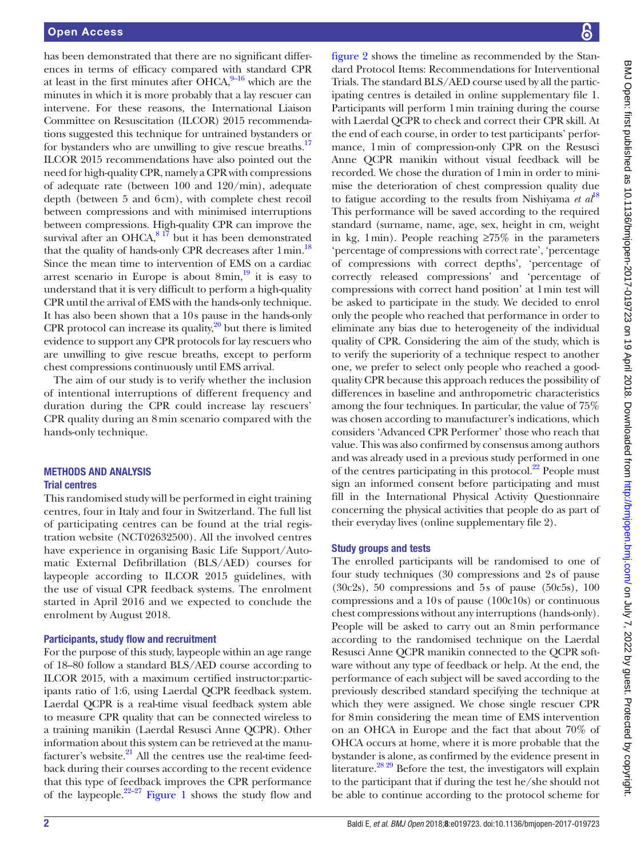has been demonstrated that there are no significant differences in terms of efficacy compared with standard CPR at least in the first minutes after OHCA, $9-16$  which are the minutes in which it is more probably that a lay rescuer can intervene. For these reasons, the International Liaison Committee on Resuscitation (ILCOR) 2015 recommendations suggested this technique for untrained bystanders or for bystanders who are unwilling to give rescue breaths.<sup>[17](#page-5-6)</sup> ILCOR 2015 recommendations have also pointed out the need for high-quality CPR, namely a CPR with compressions of adequate rate (between 100 and 120/min), adequate depth (between 5 and 6cm), with complete chest recoil between compressions and with minimised interruptions between compressions. High-quality CPR can improve the survival after an OHCA, $81\frac{17}{7}$  but it has been demonstrated that the quality of hands-only CPR decreases after  $1 \text{min}$ .<sup>[18](#page-5-7)</sup> Since the mean time to intervention of EMS on a cardiac arrest scenario in Europe is about  $8$ min, $19$  it is easy to understand that it is very difficult to perform a high-quality CPR until the arrival of EMS with the hands-only technique. It has also been shown that a 10s pause in the hands-only CPR protocol can increase its quality, $2^0$  but there is limited evidence to support any CPR protocols for lay rescuers who are unwilling to give rescue breaths, except to perform chest compressions continuously until EMS arrival.

The aim of our study is to verify whether the inclusion of intentional interruptions of different frequency and duration during the CPR could increase lay rescuers' CPR quality during an 8min scenario compared with the hands-only technique.

## Methods and analysis Trial centres

This randomised study will be performed in eight training centres, four in Italy and four in Switzerland. The full list of participating centres can be found at the trial registration website (NCT02632500). All the involved centres have experience in organising Basic Life Support/Automatic External Defibrillation (BLS/AED) courses for laypeople according to ILCOR 2015 guidelines, with the use of visual CPR feedback systems. The enrolment started in April 2016 and we expected to conclude the enrolment by August 2018.

## Participants, study flow and recruitment

For the purpose of this study, laypeople within an age range of 18–80 follow a standard BLS/AED course according to ILCOR 2015, with a maximum certified instructor:participants ratio of 1:6, using Laerdal QCPR feedback system. Laerdal QCPR is a real-time visual feedback system able to measure CPR quality that can be connected wireless to a training manikin (Laerdal Resusci Anne QCPR). Other information about this system can be retrieved at the manufacturer's website. $^{21}$  All the centres use the real-time feedback during their courses according to the recent evidence that this type of feedback improves the CPR performance of the laypeople.<sup>[22–27](#page-5-11)</sup> [Figure](#page-2-0) 1 shows the study flow and

[figure](#page-3-0) 2 shows the timeline as recommended by the Standard Protocol Items: Recommendations for Interventional Trials. The standard BLS/AED course used by all the participating centres is detailed in online [supplementary file 1](https://dx.doi.org/10.1136/bmjopen-2017-019723). Participants will perform 1min training during the course with Laerdal QCPR to check and correct their CPR skill. At the end of each course, in order to test participants' performance, 1min of compression-only CPR on the Resusci Anne QCPR manikin without visual feedback will be recorded. We chose the duration of 1min in order to minimise the deterioration of chest compression quality due to fatigue according to the results from Nishiyama  $et \t a l<sup>18</sup>$  $et \t a l<sup>18</sup>$  $et \t a l<sup>18</sup>$ This performance will be saved according to the required standard (surname, name, age, sex, height in cm, weight in kg, 1min). People reaching ≥75% in the parameters 'percentage of compressions with correct rate', 'percentage of compressions with correct depths', 'percentage of correctly released compressions' and 'percentage of compressions with correct hand position' at 1min test will be asked to participate in the study. We decided to enrol only the people who reached that performance in order to eliminate any bias due to heterogeneity of the individual quality of CPR. Considering the aim of the study, which is to verify the superiority of a technique respect to another one, we prefer to select only people who reached a goodquality CPR because this approach reduces the possibility of differences in baseline and anthropometric characteristics among the four techniques. In particular, the value of 75% was chosen according to manufacturer's indications, which considers 'Advanced CPR Performer' those who reach that value. This was also confirmed by consensus among authors and was already used in a previous study performed in one of the centres participating in this protocol. $^{22}$  People must sign an informed consent before participating and must fill in the International Physical Activity Questionnaire concerning the physical activities that people do as part of their everyday lives (online [supplementary file 2](https://dx.doi.org/10.1136/bmjopen-2017-019723)).

## Study groups and tests

The enrolled participants will be randomised to one of four study techniques (30 compressions and 2s of pause (30c2s), 50 compressions and 5s of pause (50c5s), 100 compressions and a 10s of pause (100c10s) or continuous chest compressions without any interruptions (hands-only). People will be asked to carry out an 8min performance according to the randomised technique on the Laerdal Resusci Anne QCPR manikin connected to the QCPR software without any type of feedback or help. At the end, the performance of each subject will be saved according to the previously described standard specifying the technique at which they were assigned. We chose single rescuer CPR for 8min considering the mean time of EMS intervention on an OHCA in Europe and the fact that about 70% of OHCA occurs at home, where it is more probable that the bystander is alone, as confirmed by the evidence present in literature.<sup>28 29</sup> Before the test, the investigators will explain to the participant that if during the test he/she should not be able to continue according to the protocol scheme for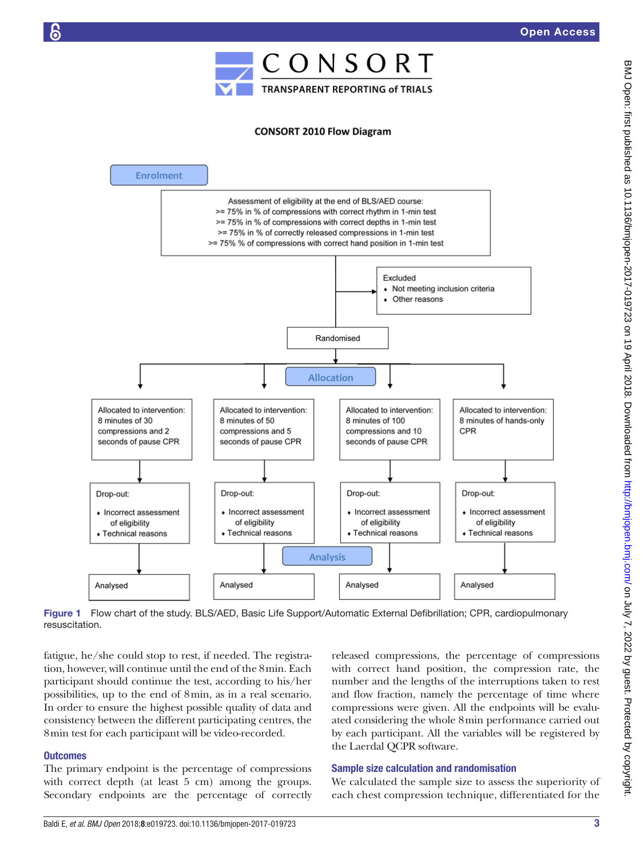

## **CONSORT 2010 Flow Diagram**



<span id="page-2-0"></span>Figure 1 Flow chart of the study. BLS/AED, Basic Life Support/Automatic External Defibrillation; CPR, cardiopulmonary resuscitation.

fatigue, he/she could stop to rest, if needed. The registration, however, will continue until the end of the 8min. Each participant should continue the test, according to his/her possibilities, up to the end of 8min, as in a real scenario. In order to ensure the highest possible quality of data and consistency between the different participating centres, the 8min test for each participant will be video-recorded.

## **Outcomes**

The primary endpoint is the percentage of compressions with correct depth (at least 5 cm) among the groups. Secondary endpoints are the percentage of correctly released compressions, the percentage of compressions with correct hand position, the compression rate, the number and the lengths of the interruptions taken to rest and flow fraction, namely the percentage of time where compressions were given. All the endpoints will be evaluated considering the whole 8min performance carried out by each participant. All the variables will be registered by the Laerdal QCPR software.

## Sample size calculation and randomisation

We calculated the sample size to assess the superiority of each chest compression technique, differentiated for the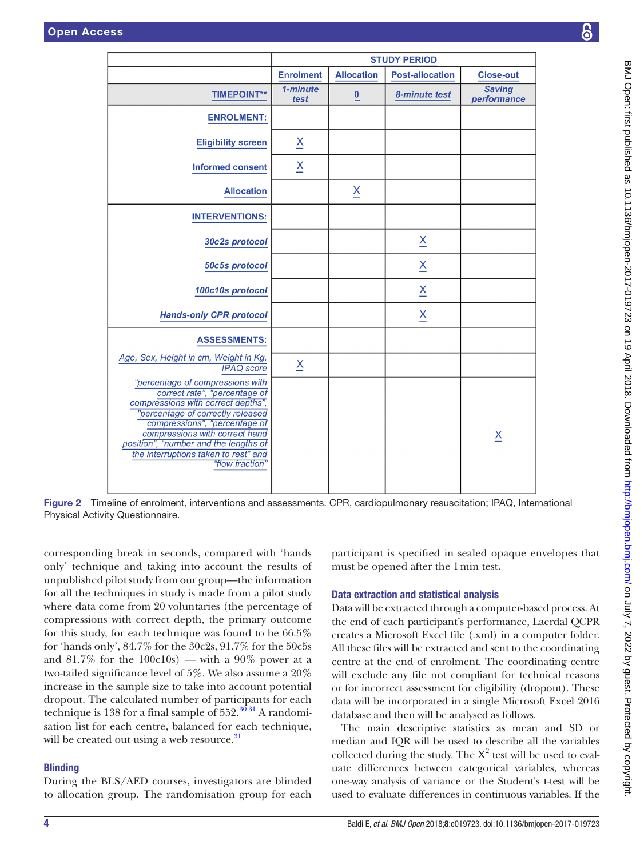|                                                                                                                                                                                                                                                                                                                     | <b>STUDY PERIOD</b>     |                         |                          |                              |
|---------------------------------------------------------------------------------------------------------------------------------------------------------------------------------------------------------------------------------------------------------------------------------------------------------------------|-------------------------|-------------------------|--------------------------|------------------------------|
|                                                                                                                                                                                                                                                                                                                     | <b>Enrolment</b>        | <b>Allocation</b>       | <b>Post-allocation</b>   | <b>Close-out</b>             |
| <b>TIMEPOINT**</b>                                                                                                                                                                                                                                                                                                  | 1-minute<br>test        | $\overline{0}$          | 8-minute test            | <b>Saving</b><br>performance |
| <b>ENROLMENT:</b>                                                                                                                                                                                                                                                                                                   |                         |                         |                          |                              |
| <b>Eligibility screen</b>                                                                                                                                                                                                                                                                                           | $\overline{\mathsf{x}}$ |                         |                          |                              |
| <b>Informed consent</b>                                                                                                                                                                                                                                                                                             | $\underline{X}$         |                         |                          |                              |
| <b>Allocation</b>                                                                                                                                                                                                                                                                                                   |                         | $\overline{\mathsf{X}}$ |                          |                              |
| <b>INTERVENTIONS:</b>                                                                                                                                                                                                                                                                                               |                         |                         |                          |                              |
| 30c2s protocol                                                                                                                                                                                                                                                                                                      |                         |                         | $\overline{\mathsf{X}}$  |                              |
| 50c5s protocol                                                                                                                                                                                                                                                                                                      |                         |                         | $\underline{x}$          |                              |
| 100c10s protocol                                                                                                                                                                                                                                                                                                    |                         |                         | $\underline{\mathsf{X}}$ |                              |
| <b>Hands-only CPR protocol</b>                                                                                                                                                                                                                                                                                      |                         |                         | X                        |                              |
| <b>ASSESSMENTS:</b>                                                                                                                                                                                                                                                                                                 |                         |                         |                          |                              |
| Age, Sex, Height in cm, Weight in Kg,<br><b>IPAQ</b> score                                                                                                                                                                                                                                                          | $\overline{\mathsf{X}}$ |                         |                          |                              |
| "percentage of compressions with<br>correct rate", "percentage of<br>compressions with correct depths",<br>"percentage of correctly released<br>compressions", "percentage of<br>compressions with correct hand<br>position", "number and the lengths of<br>the interruptions taken to rest" and<br>"flow fraction" |                         |                         |                          | $\overline{\mathsf{X}}$      |

<span id="page-3-0"></span>Figure 2 Timeline of enrolment, interventions and assessments. CPR, cardiopulmonary resuscitation; IPAQ, International Physical Activity Questionnaire.

corresponding break in seconds, compared with 'hands only' technique and taking into account the results of unpublished pilot study from our group—the information for all the techniques in study is made from a pilot study where data come from 20 voluntaries (the percentage of compressions with correct depth, the primary outcome for this study, for each technique was found to be 66.5% for 'hands only', 84.7% for the 30c2s, 91.7% for the 50c5s and 81.7% for the 100c10s) — with a 90% power at a two-tailed significance level of 5%. We also assume a 20% increase in the sample size to take into account potential dropout. The calculated number of participants for each technique is 138 for a final sample of  $552.^{36\,31}$  A randomisation list for each centre, balanced for each technique, will be created out using a web resource.<sup>[31](#page-5-14)</sup>

## **Blinding**

During the BLS/AED courses, investigators are blinded to allocation group. The randomisation group for each

participant is specified in sealed opaque envelopes that must be opened after the 1min test.

## Data extraction and statistical analysis

Data will be extracted through a computer-based process. At the end of each participant's performance, Laerdal QCPR creates a Microsoft Excel file (.xml) in a computer folder. All these files will be extracted and sent to the coordinating centre at the end of enrolment. The coordinating centre will exclude any file not compliant for technical reasons or for incorrect assessment for eligibility (dropout). These data will be incorporated in a single Microsoft Excel 2016 database and then will be analysed as follows.

The main descriptive statistics as mean and SD or median and IQR will be used to describe all the variables collected during the study. The  $X^2$  test will be used to evaluate differences between categorical variables, whereas one-way analysis of variance or the Student's t-test will be used to evaluate differences in continuous variables. If the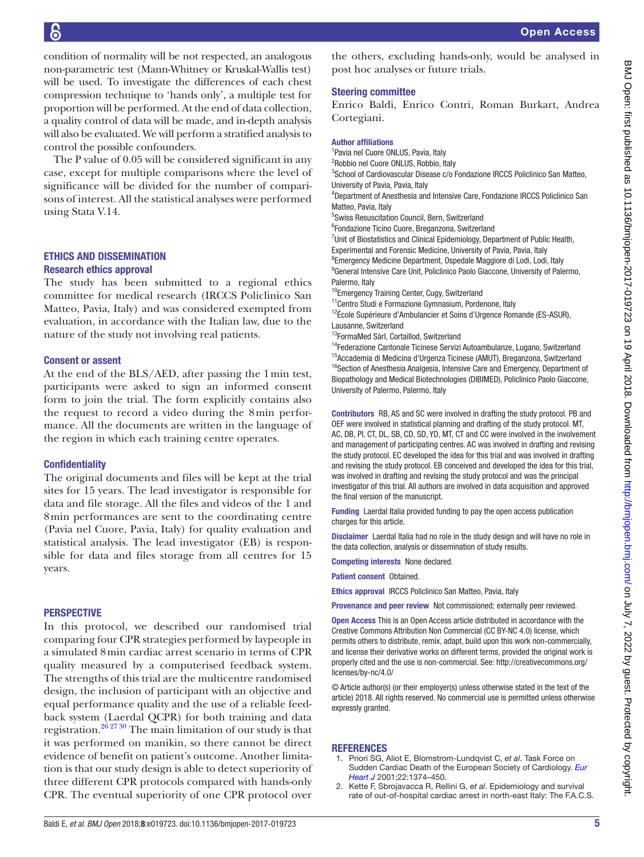condition of normality will be not respected, an analogous non-parametric test (Mann-Whitney or Kruskal-Wallis test) will be used. To investigate the differences of each chest compression technique to 'hands only', a multiple test for proportion will be performed. At the end of data collection, a quality control of data will be made, and in-depth analysis will also be evaluated. We will perform a stratified analysis to control the possible confounders.

The P value of 0.05 will be considered significant in any case, except for multiple comparisons where the level of significance will be divided for the number of comparisons of interest. All the statistical analyses were performed using Stata V.14.

## Ethics and dissemination Research ethics approval

The study has been submitted to a regional ethics committee for medical research (IRCCS Policlinico San Matteo, Pavia, Italy) and was considered exempted from evaluation, in accordance with the Italian law, due to the nature of the study not involving real patients.

## Consent or assent

At the end of the BLS/AED, after passing the 1min test, participants were asked to sign an informed consent form to join the trial. The form explicitly contains also the request to record a video during the 8min performance. All the documents are written in the language of the region in which each training centre operates.

## **Confidentiality**

The original documents and files will be kept at the trial sites for 15 years. The lead investigator is responsible for data and file storage. All the files and videos of the 1 and 8min performances are sent to the coordinating centre (Pavia nel Cuore, Pavia, Italy) for quality evaluation and statistical analysis. The lead investigator (EB) is responsible for data and files storage from all centres for 15 years.

## **PERSPECTIVE**

In this protocol, we described our randomised trial comparing four CPR strategies performed by laypeople in a simulated 8min cardiac arrest scenario in terms of CPR quality measured by a computerised feedback system. The strengths of this trial are the multicentre randomised design, the inclusion of participant with an objective and equal performance quality and the use of a reliable feedback system (Laerdal QCPR) for both training and data registration[.26 27 30](#page-5-15) The main limitation of our study is that it was performed on manikin, so there cannot be direct evidence of benefit on patient's outcome. Another limitation is that our study design is able to detect superiority of three different CPR protocols compared with hands-only CPR. The eventual superiority of one CPR protocol over

## Steering committee

Enrico Baldi, Enrico Contri, Roman Burkart, Andrea Cortegiani.

#### Author affiliations

 Pavia nel Cuore ONLUS, Pavia, Italy Robbio nel Cuore ONLUS, Robbio, Italy School of Cardiovascular Disease c/o Fondazione IRCCS Policlinico San Matteo, University of Pavia, Pavia, Italy Department of Anesthesia and Intensive Care, Fondazione IRCCS Policlinico San Matteo, Pavia, Italy Swiss Resuscitation Council, Bern, Switzerland Fondazione Ticino Cuore, Breganzona, Switzerland Unit of Biostatistics and Clinical Epidemiology, Department of Public Health,

Experimental and Forensic Medicine, University of Pavia, Pavia, Italy <sup>8</sup> Emergency Medicine Department, Ospedale Maggiore di Lodi, Lodi, Italy <sup>9</sup> General Intensive Care Unit, Policlinico Paolo Giaccone, University of Palermo,

Palermo, Italy <sup>10</sup>Emergency Training Center, Cugy, Switzerland

<sup>11</sup> Centro Studi e Formazione Gymnasium, Pordenone, Italy <sup>12</sup>École Supérieure d'Ambulancier et Soins d'Urgence Romande (ES-ASUR),

Lausanne, Switzerland

13FormaMed Sàrl, Cortaillod, Switzerland

<sup>14</sup>Federazione Cantonale Ticinese Servizi Autoambulanze, Lugano, Switzerland 15Accademia di Medicina d'Urgenza Ticinese (AMUT), Breganzona, Switzerland <sup>16</sup>Section of Anesthesia Analgesia, Intensive Care and Emergency, Department of Biopathology and Medical Biotechnologies (DIBIMED), Policlinico Paolo Giaccone, University of Palermo, Palermo, Italy

Contributors RB, AS and SC were involved in drafting the study protocol. PB and OEF were involved in statistical planning and drafting of the study protocol. MT, AC, DB, PI, CT, DL, SB, CD, SD, YD, MT, CT and CC were involved in the involvement and management of participating centres. AC was involved in drafting and revising the study protocol. EC developed the idea for this trial and was involved in drafting and revising the study protocol. EB conceived and developed the idea for this trial, was involved in drafting and revising the study protocol and was the principal investigator of this trial. All authors are involved in data acquisition and approved the final version of the manuscript.

Funding Laerdal Italia provided funding to pay the open access publication charges for this article.

Disclaimer Laerdal Italia had no role in the study design and will have no role in the data collection, analysis or dissemination of study results.

Competing interests None declared.

Patient consent Obtained

Ethics approval IRCCS Policlinico San Matteo, Pavia, Italy

Provenance and peer review Not commissioned; externally peer reviewed.

Open Access This is an Open Access article distributed in accordance with the Creative Commons Attribution Non Commercial (CC BY-NC 4.0) license, which permits others to distribute, remix, adapt, build upon this work non-commercially, and license their derivative works on different terms, provided the original work is properly cited and the use is non-commercial. See: [http://creativecommons.org/](http://creativecommons.org/licenses/by-nc/4.0/) [licenses/by-nc/4.0/](http://creativecommons.org/licenses/by-nc/4.0/)

© Article author(s) (or their employer(s) unless otherwise stated in the text of the article) 2018. All rights reserved. No commercial use is permitted unless otherwise expressly granted.

#### **REFERENCES**

- <span id="page-4-0"></span>1. Priori SG, Aliot E, Blomstrom-Lundqvist C, *et al*. Task Force on Sudden Cardiac Death of the European Society of Cardiology. *[Eur](http://dx.doi.org/10.1053/euhj.2001.2824)  [Heart J](http://dx.doi.org/10.1053/euhj.2001.2824)* 2001;22:1374–450.
- 2. Kette F, Sbrojavacca R, Rellini G, *et al*. Epidemiology and survival rate of out-of-hospital cardiac arrest in north-east Italy: The F.A.C.S.